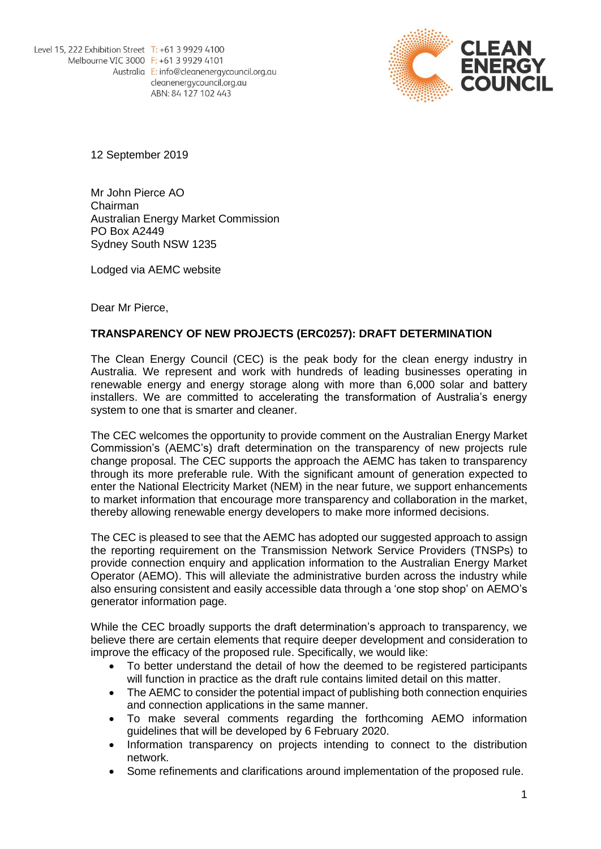

12 September 2019

Mr John Pierce AO Chairman Australian Energy Market Commission PO Box A2449 Sydney South NSW 1235

Lodged via AEMC website

Dear Mr Pierce,

# **TRANSPARENCY OF NEW PROJECTS (ERC0257): DRAFT DETERMINATION**

The Clean Energy Council (CEC) is the peak body for the clean energy industry in Australia. We represent and work with hundreds of leading businesses operating in renewable energy and energy storage along with more than 6,000 solar and battery installers. We are committed to accelerating the transformation of Australia's energy system to one that is smarter and cleaner.

The CEC welcomes the opportunity to provide comment on the Australian Energy Market Commission's (AEMC's) draft determination on the transparency of new projects rule change proposal. The CEC supports the approach the AEMC has taken to transparency through its more preferable rule. With the significant amount of generation expected to enter the National Electricity Market (NEM) in the near future, we support enhancements to market information that encourage more transparency and collaboration in the market, thereby allowing renewable energy developers to make more informed decisions.

The CEC is pleased to see that the AEMC has adopted our suggested approach to assign the reporting requirement on the Transmission Network Service Providers (TNSPs) to provide connection enquiry and application information to the Australian Energy Market Operator (AEMO). This will alleviate the administrative burden across the industry while also ensuring consistent and easily accessible data through a 'one stop shop' on AEMO's generator information page.

While the CEC broadly supports the draft determination's approach to transparency, we believe there are certain elements that require deeper development and consideration to improve the efficacy of the proposed rule. Specifically, we would like:

- To better understand the detail of how the deemed to be registered participants will function in practice as the draft rule contains limited detail on this matter.
- The AEMC to consider the potential impact of publishing both connection enquiries and connection applications in the same manner.
- To make several comments regarding the forthcoming AEMO information guidelines that will be developed by 6 February 2020.
- Information transparency on projects intending to connect to the distribution network.
- Some refinements and clarifications around implementation of the proposed rule.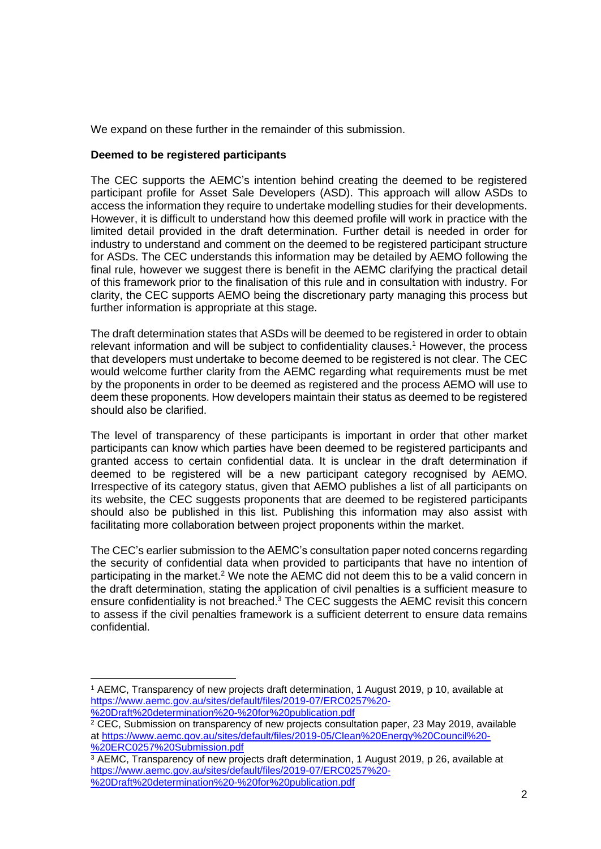We expand on these further in the remainder of this submission.

# **Deemed to be registered participants**

The CEC supports the AEMC's intention behind creating the deemed to be registered participant profile for Asset Sale Developers (ASD). This approach will allow ASDs to access the information they require to undertake modelling studies for their developments. However, it is difficult to understand how this deemed profile will work in practice with the limited detail provided in the draft determination. Further detail is needed in order for industry to understand and comment on the deemed to be registered participant structure for ASDs. The CEC understands this information may be detailed by AEMO following the final rule, however we suggest there is benefit in the AEMC clarifying the practical detail of this framework prior to the finalisation of this rule and in consultation with industry. For clarity, the CEC supports AEMO being the discretionary party managing this process but further information is appropriate at this stage.

The draft determination states that ASDs will be deemed to be registered in order to obtain relevant information and will be subject to confidentiality clauses. <sup>1</sup> However, the process that developers must undertake to become deemed to be registered is not clear. The CEC would welcome further clarity from the AEMC regarding what requirements must be met by the proponents in order to be deemed as registered and the process AEMO will use to deem these proponents. How developers maintain their status as deemed to be registered should also be clarified.

The level of transparency of these participants is important in order that other market participants can know which parties have been deemed to be registered participants and granted access to certain confidential data. It is unclear in the draft determination if deemed to be registered will be a new participant category recognised by AEMO. Irrespective of its category status, given that AEMO publishes a list of all participants on its website, the CEC suggests proponents that are deemed to be registered participants should also be published in this list. Publishing this information may also assist with facilitating more collaboration between project proponents within the market.

The CEC's earlier submission to the AEMC's consultation paper noted concerns regarding the security of confidential data when provided to participants that have no intention of participating in the market.<sup>2</sup> We note the AEMC did not deem this to be a valid concern in the draft determination, stating the application of civil penalties is a sufficient measure to ensure confidentiality is not breached.<sup>3</sup> The CEC suggests the AEMC revisit this concern to assess if the civil penalties framework is a sufficient deterrent to ensure data remains confidential.

<sup>1</sup> AEMC, Transparency of new projects draft determination, 1 August 2019, p 10, available at [https://www.aemc.gov.au/sites/default/files/2019-07/ERC0257%20-](https://www.aemc.gov.au/sites/default/files/2019-07/ERC0257%20-%20Draft%20determination%20-%20for%20publication.pdf)

[<sup>%20</sup>Draft%20determination%20-%20for%20publication.pdf](https://www.aemc.gov.au/sites/default/files/2019-07/ERC0257%20-%20Draft%20determination%20-%20for%20publication.pdf)

 $2$  CEC. Submission on transparency of new projects consultation paper, 23 May 2019, available at [https://www.aemc.gov.au/sites/default/files/2019-05/Clean%20Energy%20Council%20-](https://www.aemc.gov.au/sites/default/files/2019-05/Clean%20Energy%20Council%20-%20ERC0257%20Submission.pdf) [%20ERC0257%20Submission.pdf](https://www.aemc.gov.au/sites/default/files/2019-05/Clean%20Energy%20Council%20-%20ERC0257%20Submission.pdf)

<sup>3</sup> AEMC, Transparency of new projects draft determination, 1 August 2019, p 26, available at [https://www.aemc.gov.au/sites/default/files/2019-07/ERC0257%20-](https://www.aemc.gov.au/sites/default/files/2019-07/ERC0257%20-%20Draft%20determination%20-%20for%20publication.pdf) [%20Draft%20determination%20-%20for%20publication.pdf](https://www.aemc.gov.au/sites/default/files/2019-07/ERC0257%20-%20Draft%20determination%20-%20for%20publication.pdf)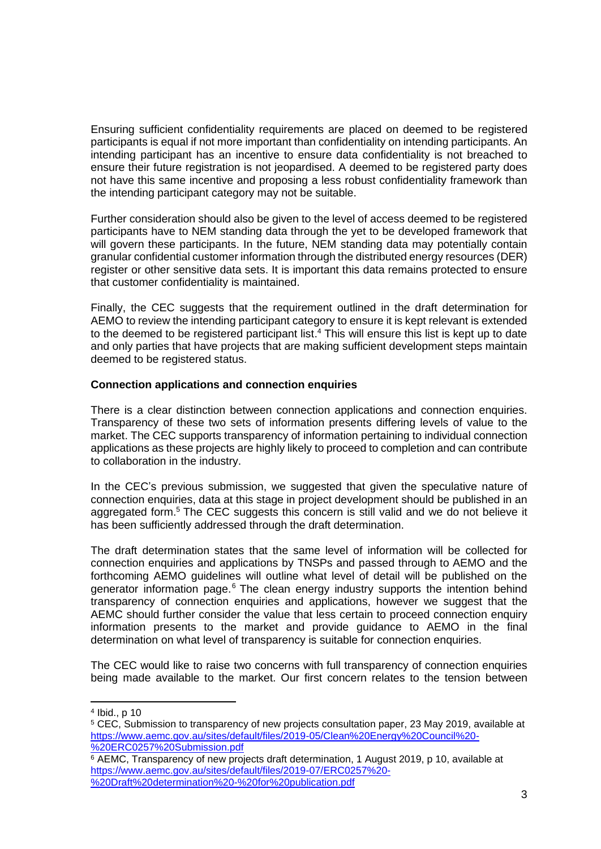Ensuring sufficient confidentiality requirements are placed on deemed to be registered participants is equal if not more important than confidentiality on intending participants. An intending participant has an incentive to ensure data confidentiality is not breached to ensure their future registration is not jeopardised. A deemed to be registered party does not have this same incentive and proposing a less robust confidentiality framework than the intending participant category may not be suitable.

Further consideration should also be given to the level of access deemed to be registered participants have to NEM standing data through the yet to be developed framework that will govern these participants. In the future, NEM standing data may potentially contain granular confidential customer information through the distributed energy resources (DER) register or other sensitive data sets. It is important this data remains protected to ensure that customer confidentiality is maintained.

Finally, the CEC suggests that the requirement outlined in the draft determination for AEMO to review the intending participant category to ensure it is kept relevant is extended to the deemed to be registered participant list. <sup>4</sup> This will ensure this list is kept up to date and only parties that have projects that are making sufficient development steps maintain deemed to be registered status.

# **Connection applications and connection enquiries**

There is a clear distinction between connection applications and connection enquiries. Transparency of these two sets of information presents differing levels of value to the market. The CEC supports transparency of information pertaining to individual connection applications as these projects are highly likely to proceed to completion and can contribute to collaboration in the industry.

In the CEC's previous submission, we suggested that given the speculative nature of connection enquiries, data at this stage in project development should be published in an aggregated form.<sup>5</sup> The CEC suggests this concern is still valid and we do not believe it has been sufficiently addressed through the draft determination.

The draft determination states that the same level of information will be collected for connection enquiries and applications by TNSPs and passed through to AEMO and the forthcoming AEMO guidelines will outline what level of detail will be published on the generator information page.<sup>6</sup> The clean energy industry supports the intention behind transparency of connection enquiries and applications, however we suggest that the AEMC should further consider the value that less certain to proceed connection enquiry information presents to the market and provide guidance to AEMO in the final determination on what level of transparency is suitable for connection enquiries.

The CEC would like to raise two concerns with full transparency of connection enquiries being made available to the market. Our first concern relates to the tension between

<sup>4</sup> Ibid., p 10

<sup>5</sup> CEC, Submission to transparency of new projects consultation paper, 23 May 2019, available at [https://www.aemc.gov.au/sites/default/files/2019-05/Clean%20Energy%20Council%20-](https://www.aemc.gov.au/sites/default/files/2019-05/Clean%20Energy%20Council%20-%20ERC0257%20Submission.pdf) [%20ERC0257%20Submission.pdf](https://www.aemc.gov.au/sites/default/files/2019-05/Clean%20Energy%20Council%20-%20ERC0257%20Submission.pdf)

<sup>6</sup> AEMC, Transparency of new projects draft determination, 1 August 2019, p 10, available at [https://www.aemc.gov.au/sites/default/files/2019-07/ERC0257%20-](https://www.aemc.gov.au/sites/default/files/2019-07/ERC0257%20-%20Draft%20determination%20-%20for%20publication.pdf) [%20Draft%20determination%20-%20for%20publication.pdf](https://www.aemc.gov.au/sites/default/files/2019-07/ERC0257%20-%20Draft%20determination%20-%20for%20publication.pdf)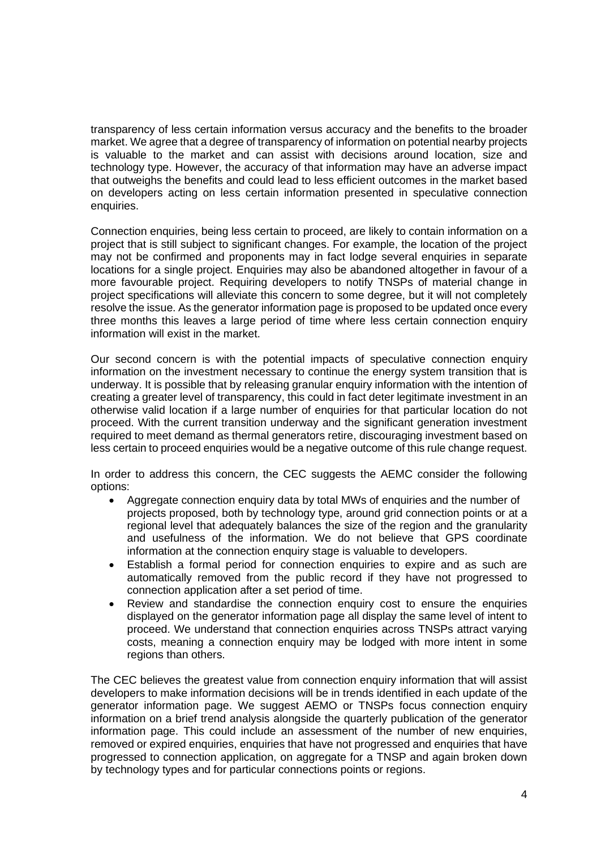transparency of less certain information versus accuracy and the benefits to the broader market. We agree that a degree of transparency of information on potential nearby projects is valuable to the market and can assist with decisions around location, size and technology type. However, the accuracy of that information may have an adverse impact that outweighs the benefits and could lead to less efficient outcomes in the market based on developers acting on less certain information presented in speculative connection enquiries.

Connection enquiries, being less certain to proceed, are likely to contain information on a project that is still subject to significant changes. For example, the location of the project may not be confirmed and proponents may in fact lodge several enquiries in separate locations for a single project. Enquiries may also be abandoned altogether in favour of a more favourable project. Requiring developers to notify TNSPs of material change in project specifications will alleviate this concern to some degree, but it will not completely resolve the issue. As the generator information page is proposed to be updated once every three months this leaves a large period of time where less certain connection enquiry information will exist in the market.

Our second concern is with the potential impacts of speculative connection enquiry information on the investment necessary to continue the energy system transition that is underway. It is possible that by releasing granular enquiry information with the intention of creating a greater level of transparency, this could in fact deter legitimate investment in an otherwise valid location if a large number of enquiries for that particular location do not proceed. With the current transition underway and the significant generation investment required to meet demand as thermal generators retire, discouraging investment based on less certain to proceed enquiries would be a negative outcome of this rule change request.

In order to address this concern, the CEC suggests the AEMC consider the following options:

- Aggregate connection enquiry data by total MWs of enquiries and the number of projects proposed, both by technology type, around grid connection points or at a regional level that adequately balances the size of the region and the granularity and usefulness of the information. We do not believe that GPS coordinate information at the connection enquiry stage is valuable to developers.
- Establish a formal period for connection enquiries to expire and as such are automatically removed from the public record if they have not progressed to connection application after a set period of time.
- Review and standardise the connection enquiry cost to ensure the enquiries displayed on the generator information page all display the same level of intent to proceed. We understand that connection enquiries across TNSPs attract varying costs, meaning a connection enquiry may be lodged with more intent in some regions than others.

The CEC believes the greatest value from connection enquiry information that will assist developers to make information decisions will be in trends identified in each update of the generator information page. We suggest AEMO or TNSPs focus connection enquiry information on a brief trend analysis alongside the quarterly publication of the generator information page. This could include an assessment of the number of new enquiries, removed or expired enquiries, enquiries that have not progressed and enquiries that have progressed to connection application, on aggregate for a TNSP and again broken down by technology types and for particular connections points or regions.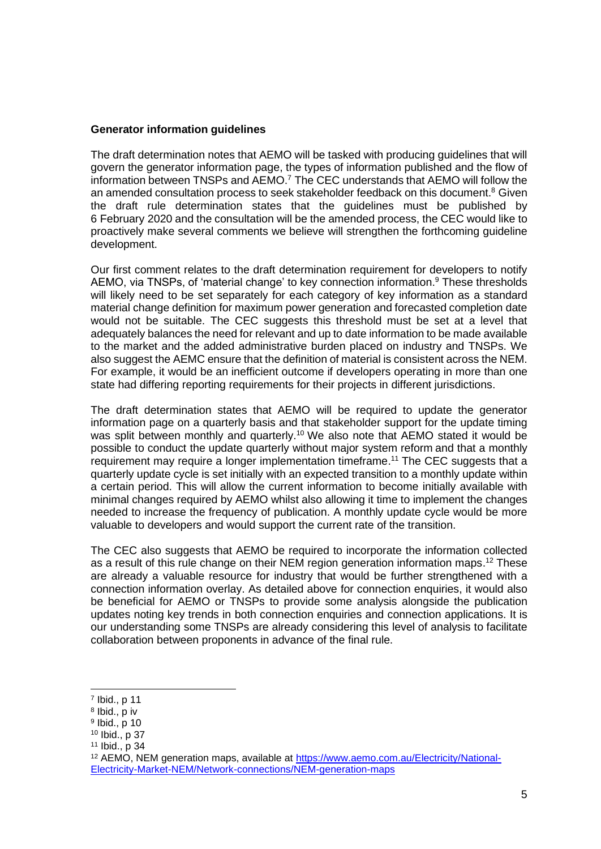#### **Generator information guidelines**

The draft determination notes that AEMO will be tasked with producing guidelines that will govern the generator information page, the types of information published and the flow of information between TNSPs and AEMO. <sup>7</sup> The CEC understands that AEMO will follow the an amended consultation process to seek stakeholder feedback on this document.<sup>8</sup> Given the draft rule determination states that the guidelines must be published by 6 February 2020 and the consultation will be the amended process, the CEC would like to proactively make several comments we believe will strengthen the forthcoming guideline development.

Our first comment relates to the draft determination requirement for developers to notify AEMO, via TNSPs, of 'material change' to key connection information. <sup>9</sup> These thresholds will likely need to be set separately for each category of key information as a standard material change definition for maximum power generation and forecasted completion date would not be suitable. The CEC suggests this threshold must be set at a level that adequately balances the need for relevant and up to date information to be made available to the market and the added administrative burden placed on industry and TNSPs. We also suggest the AEMC ensure that the definition of material is consistent across the NEM. For example, it would be an inefficient outcome if developers operating in more than one state had differing reporting requirements for their projects in different jurisdictions.

The draft determination states that AEMO will be required to update the generator information page on a quarterly basis and that stakeholder support for the update timing was split between monthly and quarterly.<sup>10</sup> We also note that AEMO stated it would be possible to conduct the update quarterly without major system reform and that a monthly requirement may require a longer implementation timeframe.<sup>11</sup> The CEC suggests that a quarterly update cycle is set initially with an expected transition to a monthly update within a certain period. This will allow the current information to become initially available with minimal changes required by AEMO whilst also allowing it time to implement the changes needed to increase the frequency of publication. A monthly update cycle would be more valuable to developers and would support the current rate of the transition.

The CEC also suggests that AEMO be required to incorporate the information collected as a result of this rule change on their NEM region generation information maps. <sup>12</sup> These are already a valuable resource for industry that would be further strengthened with a connection information overlay. As detailed above for connection enquiries, it would also be beneficial for AEMO or TNSPs to provide some analysis alongside the publication updates noting key trends in both connection enquiries and connection applications. It is our understanding some TNSPs are already considering this level of analysis to facilitate collaboration between proponents in advance of the final rule.

<sup>7</sup> Ibid., p 11

<sup>8</sup> Ibid., p iv

<sup>9</sup> Ibid., p 10

<sup>10</sup> Ibid., p 37

<sup>11</sup> Ibid., p 34

<sup>12</sup> AEMO, NEM generation maps, available at [https://www.aemo.com.au/Electricity/National-](https://www.aemo.com.au/Electricity/National-Electricity-Market-NEM/Network-connections/NEM-generation-maps)[Electricity-Market-NEM/Network-connections/NEM-generation-maps](https://www.aemo.com.au/Electricity/National-Electricity-Market-NEM/Network-connections/NEM-generation-maps)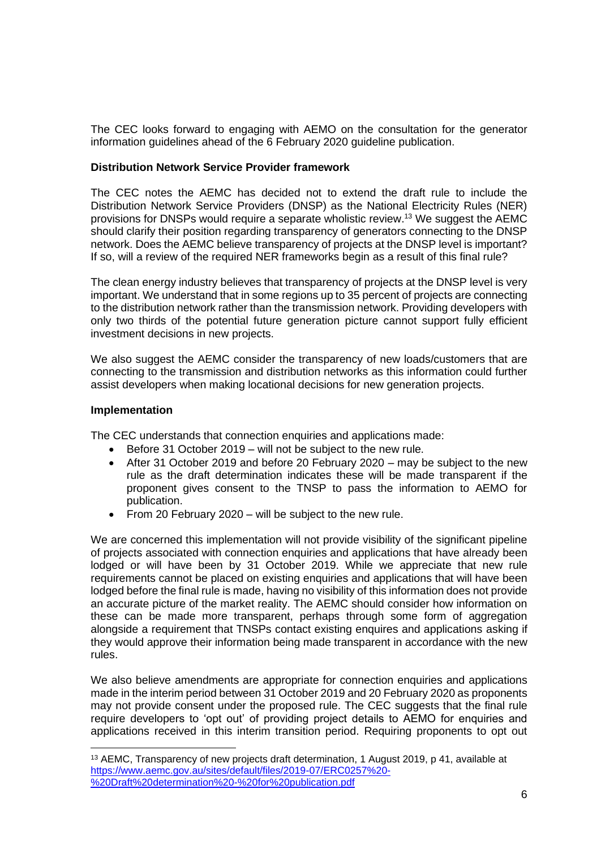The CEC looks forward to engaging with AEMO on the consultation for the generator information guidelines ahead of the 6 February 2020 guideline publication.

## **Distribution Network Service Provider framework**

The CEC notes the AEMC has decided not to extend the draft rule to include the Distribution Network Service Providers (DNSP) as the National Electricity Rules (NER) provisions for DNSPs would require a separate wholistic review. <sup>13</sup> We suggest the AEMC should clarify their position regarding transparency of generators connecting to the DNSP network. Does the AEMC believe transparency of projects at the DNSP level is important? If so, will a review of the required NER frameworks begin as a result of this final rule?

The clean energy industry believes that transparency of projects at the DNSP level is very important. We understand that in some regions up to 35 percent of projects are connecting to the distribution network rather than the transmission network. Providing developers with only two thirds of the potential future generation picture cannot support fully efficient investment decisions in new projects.

We also suggest the AEMC consider the transparency of new loads/customers that are connecting to the transmission and distribution networks as this information could further assist developers when making locational decisions for new generation projects.

## **Implementation**

The CEC understands that connection enquiries and applications made:

- Before 31 October 2019 will not be subject to the new rule.
- After 31 October 2019 and before 20 February 2020 may be subject to the new rule as the draft determination indicates these will be made transparent if the proponent gives consent to the TNSP to pass the information to AEMO for publication.
- From 20 February 2020 will be subject to the new rule.

We are concerned this implementation will not provide visibility of the significant pipeline of projects associated with connection enquiries and applications that have already been lodged or will have been by 31 October 2019. While we appreciate that new rule requirements cannot be placed on existing enquiries and applications that will have been lodged before the final rule is made, having no visibility of this information does not provide an accurate picture of the market reality. The AEMC should consider how information on these can be made more transparent, perhaps through some form of aggregation alongside a requirement that TNSPs contact existing enquires and applications asking if they would approve their information being made transparent in accordance with the new rules.

We also believe amendments are appropriate for connection enquiries and applications made in the interim period between 31 October 2019 and 20 February 2020 as proponents may not provide consent under the proposed rule. The CEC suggests that the final rule require developers to 'opt out' of providing project details to AEMO for enquiries and applications received in this interim transition period. Requiring proponents to opt out

<sup>&</sup>lt;sup>13</sup> AEMC, Transparency of new projects draft determination, 1 August 2019, p 41, available at [https://www.aemc.gov.au/sites/default/files/2019-07/ERC0257%20-](https://www.aemc.gov.au/sites/default/files/2019-07/ERC0257%20-%20Draft%20determination%20-%20for%20publication.pdf) [%20Draft%20determination%20-%20for%20publication.pdf](https://www.aemc.gov.au/sites/default/files/2019-07/ERC0257%20-%20Draft%20determination%20-%20for%20publication.pdf)